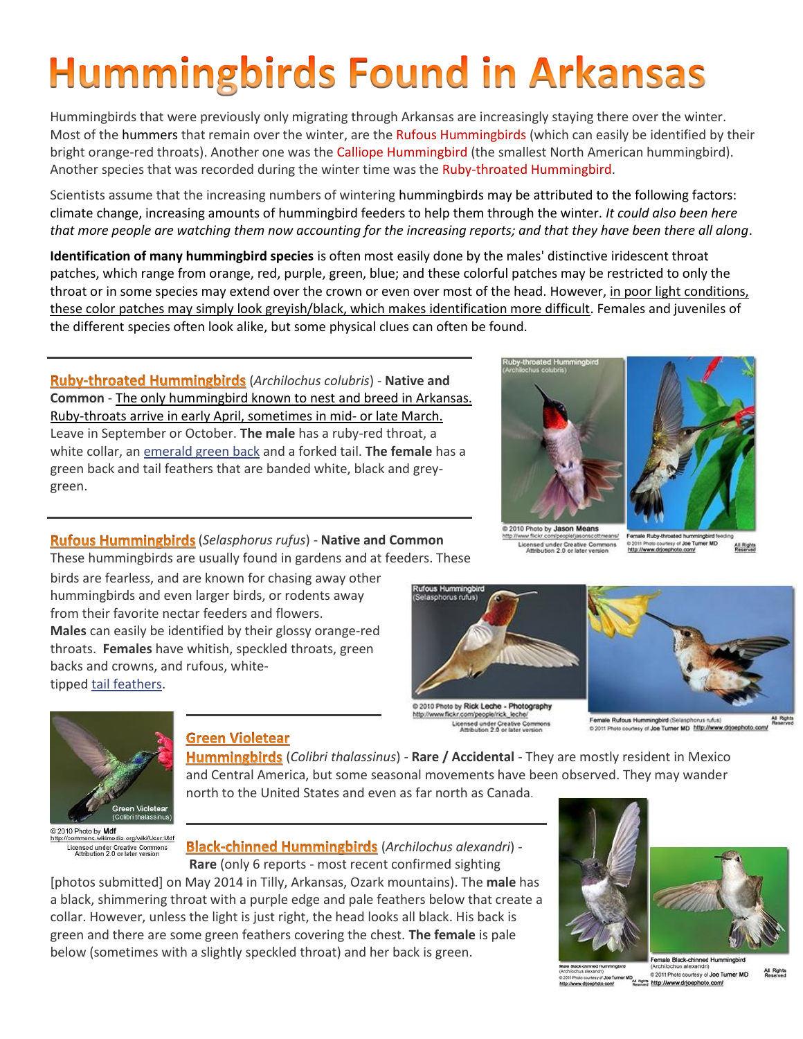# **Hummingbirds Found in Arkansas**

Hummingbirds that were previously only migrating through Arkansas are increasingly staying there over the winter. Most of the hummers that remain over the winter, are the Rufous Hummingbirds (which can easily be identified by their bright orange-red throats). Another one was the Calliope Hummingbird (the smallest North American hummingbird). Another species that was recorded during the winter time was the Ruby-throated Hummingbird.

Scientists assume that the increasing numbers of wintering hummingbirds may be attributed to the following factors: climate change, increasing amounts of [hummingbird feeders](https://www.beautyofbirds.com/hummingbirdfood.htm) to help them through the winter. *It could also been here that more people are watching them now accounting for the increasing reports; and that they have been there all along*.

**Identification of many hummingbird species** is often most easily done by the males' distinctive iridescent throat patches, which range from orange, red, purple, green, blue; and these colorful patches may be restricted to only the throat or in some species may extend over the crown or even over most of the head. However, in poor light conditions, these color patches may simply look greyish/black, which makes identification more difficult. Females and juveniles of the different species often look alike, but some physical clues can often be found.

(*Archilochus colubris*) - **Native and Common** - The only hummingbird known to nest and breed in Arkansas. Ruby-throats arrive in early April, sometimes in mid- or late March. Leave in September or October. **The male** has a ruby-red throat, a white collar, an emerald green back and a forked tail. **The female** has a green back and tail feathers that are banded white, black and greygreen.

(*Selasphorus rufus*) - **Native and Common** These hummingbirds are usually found in gardens and at feeders. These

birds are fearless, and are known for chasing away other **Males** can easily be identified by their glossy orange-red tipped tail [feathers.](http://viglink.pgpartner.com/rd.php?r=6898and%20m=1352517867and%20q=nand%20rdgt=1391621713and%20it=1391794513and%20et=1392226513and%20priceret=22.99and%20pg=~~3and%20k=396b69e7b78a4fb7c4c3d6b0cd4a1dc9and%20source=feedand%20url=http%3A%2F%2Fnetshops%2Erdr%2Echannelintelligence%2Ecom%2Fgo%2Easp%3FfVhzOC8fBggESSMYKi1aRBlmWHFwLx8GTAYEa2FfH1sPXTZLNzRpAh1HR0BxOg4aBRZEOlNBEUcsKXxdQF9UTTwmQA8eA0gwQSoqMB4ABgIOPjYFFhgHQDxTJjAyRF5WVFErOgoRGBBAKlxLU0giNmIfW15IDW5gBg1FEEczGzA2ME5dVFULPDsGPF5EGWoHcnJ1TkJeU1g7N1JfCB9IPVRNWwt9YiBCR0JTXWIxBwIFHUQyeyoqJ0heXFleOjwMBjQDUzdcJiMhTFBSVEIAOg4aBRZEOlNB%26nAID%3D5784816and%20st=feedand%20mt=~~~~~~~~n~~~)





2010 Photo by Jason Means om/people/jas Licensed under Creative Commons<br>Attribution 2.0 or later version

hote courtesy of Joe Tu All Rights

hummingbirds and even larger birds, or rodents away from their favorite nectar feeders and flowers. throats. **Females** have whitish, speckled throats, green backs and crowns, and rufous, white-



http://www.flickr.com/people/rick\_leche/ Licensed under Creative Cor

Female Rufous Hummingbird (Selasphorus rufus)<br>© 2011 Photo courtesy of Joe Turner MD http://www.drjoephoto.com



2010 Photo by Mdf http://commons.wikimedia.org/wiki/User:Mdf Licensed under Creative Commo<br>Attribution 2.0 or later version

# **Green Violetear**

(*Colibri thalassinus*) - **Rare / Accidental** - They are mostly resident in Mexico and Central America, but some seasonal movements have been observed. They may wander north to the United States and even as far north as Canada.

(*Archilochus alexandri*) - **Rare** (only 6 reports - most recent confirmed sighting

[photos submitted] on May 2014 in Tilly, Arkansas, Ozark mountains). The **male** has a black, shimmering throat with a purple edge and pale feathers below that create a collar. However, unless the light is just right, the head looks all black. His back is green and there are some green feathers covering the chest. **The female** is pale below (sometimes with a slightly speckled throat) and her back is green.



andri)<br>esy of Joe Turner MD (2011 Photo courtesy of Joe Ti<br>photo.com/ Meaning http://www.drijoephoto.com/<br>Meaning http://www.drijoephoto.com/

All Rights 0 2011 Photo courtesy of Joe Turner MD